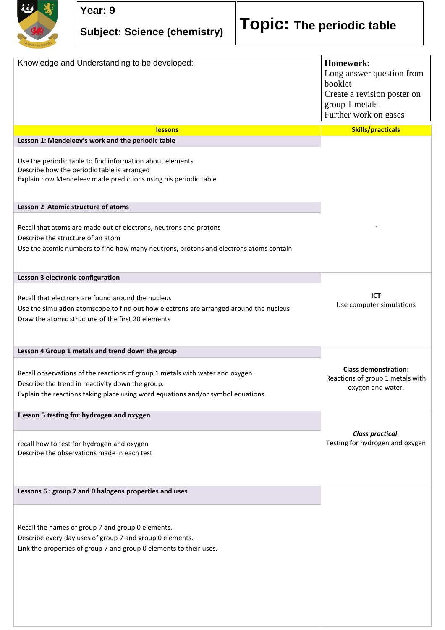

| Knowledge and Understanding to be developed:                                                                                                                                                                          | Homework:<br>Long answer question from<br>booklet<br>Create a revision poster on<br>group 1 metals<br>Further work on gases |
|-----------------------------------------------------------------------------------------------------------------------------------------------------------------------------------------------------------------------|-----------------------------------------------------------------------------------------------------------------------------|
| <b>lessons</b>                                                                                                                                                                                                        | <b>Skills/practicals</b>                                                                                                    |
| Lesson 1: Mendeleev's work and the periodic table                                                                                                                                                                     |                                                                                                                             |
| Use the periodic table to find information about elements.<br>Describe how the periodic table is arranged<br>Explain how Mendeleev made predictions using his periodic table                                          |                                                                                                                             |
| Lesson 2 Atomic structure of atoms                                                                                                                                                                                    |                                                                                                                             |
| Recall that atoms are made out of electrons, neutrons and protons<br>Describe the structure of an atom<br>Use the atomic numbers to find how many neutrons, protons and electrons atoms contain                       |                                                                                                                             |
| Lesson 3 electronic configuration                                                                                                                                                                                     |                                                                                                                             |
| Recall that electrons are found around the nucleus<br>Use the simulation atomscope to find out how electrons are arranged around the nucleus<br>Draw the atomic structure of the first 20 elements                    | <b>ICT</b><br>Use computer simulations                                                                                      |
| Lesson 4 Group 1 metals and trend down the group                                                                                                                                                                      |                                                                                                                             |
| Recall observations of the reactions of group 1 metals with water and oxygen.<br>Describe the trend in reactivity down the group.<br>Explain the reactions taking place using word equations and/or symbol equations. | <b>Class demonstration:</b><br>Reactions of group 1 metals with<br>oxygen and water.                                        |
| Lesson 5 testing for hydrogen and oxygen                                                                                                                                                                              |                                                                                                                             |
|                                                                                                                                                                                                                       | <b>Class practical:</b>                                                                                                     |
| recall how to test for hydrogen and oxygen<br>Describe the observations made in each test                                                                                                                             | Testing for hydrogen and oxygen                                                                                             |
| Lessons 6 : group 7 and 0 halogens properties and uses                                                                                                                                                                |                                                                                                                             |
|                                                                                                                                                                                                                       |                                                                                                                             |
| Recall the names of group 7 and group 0 elements.<br>Describe every day uses of group 7 and group 0 elements.<br>Link the properties of group 7 and group 0 elements to their uses.                                   |                                                                                                                             |